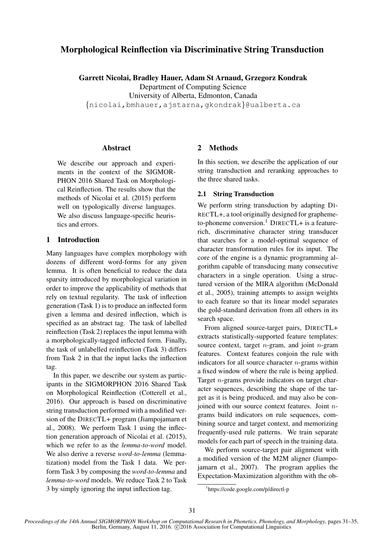# Morphological Reinflection via Discriminative String Transduction

Garrett Nicolai, Bradley Hauer, Adam St Arnaud, Grzegorz Kondrak

Department of Computing Science

University of Alberta, Edmonton, Canada

{nicolai,bmhauer,ajstarna,gkondrak}@ualberta.ca

#### Abstract

We describe our approach and experiments in the context of the SIGMOR-PHON 2016 Shared Task on Morphological Reinflection. The results show that the methods of Nicolai et al. (2015) perform well on typologically diverse languages. We also discuss language-specific heuristics and errors.

#### 1 Introduction

Many languages have complex morphology with dozens of different word-forms for any given lemma. It is often beneficial to reduce the data sparsity introduced by morphological variation in order to improve the applicability of methods that rely on textual regularity. The task of inflection generation (Task 1) is to produce an inflected form given a lemma and desired inflection, which is specified as an abstract tag. The task of labelled reinflection (Task 2) replaces the input lemma with a morphologically-tagged inflected form. Finally, the task of unlabelled reinflection (Task 3) differs from Task 2 in that the input lacks the inflection tag.

In this paper, we describe our system as participants in the SIGMORPHON 2016 Shared Task on Morphological Reinflection (Cotterell et al., 2016). Our approach is based on discriminative string transduction performed with a modified version of the DIRECTL+ program (Jiampojamarn et al., 2008). We perform Task 1 using the inflection generation approach of Nicolai et al. (2015), which we refer to as the *lemma-to-word* model. We also derive a reverse *word-to-lemma* (lemmatization) model from the Task 1 data. We perform Task 3 by composing the *word-to-lemma* and *lemma-to-word* models. We reduce Task 2 to Task 3 by simply ignoring the input inflection tag.

### 2 Methods

In this section, we describe the application of our string transduction and reranking approaches to the three shared tasks.

#### 2.1 String Transduction

We perform string transduction by adapting DI-RECTL+, a tool originally designed for graphemeto-phoneme conversion.<sup>1</sup> DIRECTL+ is a featurerich, discriminative character string transducer that searches for a model-optimal sequence of character transformation rules for its input. The core of the engine is a dynamic programming algorithm capable of transducing many consecutive characters in a single operation. Using a structured version of the MIRA algorithm (McDonald et al., 2005), training attempts to assign weights to each feature so that its linear model separates the gold-standard derivation from all others in its search space.

From aligned source-target pairs, DIRECTL+ extracts statistically-supported feature templates: source context, target  $n$ -gram, and joint  $n$ -gram features. Context features conjoin the rule with indicators for all source character  $n$ -grams within a fixed window of where the rule is being applied. Target n-grams provide indicators on target character sequences, describing the shape of the target as it is being produced, and may also be conjoined with our source context features. Joint ngrams build indicators on rule sequences, combining source and target context, and memorizing frequently-used rule patterns. We train separate models for each part of speech in the training data.

We perform source-target pair alignment with a modified version of the M2M aligner (Jiampojamarn et al., 2007). The program applies the Expectation-Maximization algorithm with the ob-

<sup>1</sup> https://code.google.com/p/directl-p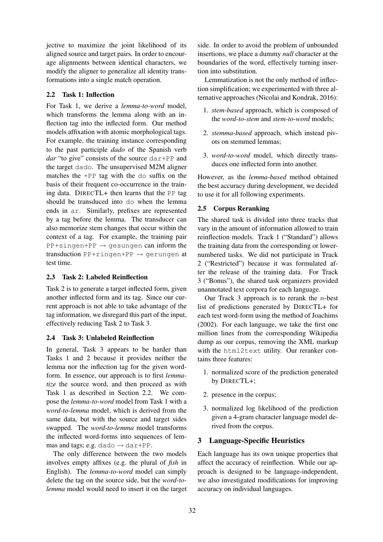jective to maximize the joint likelihood of its aligned source and target pairs. In order to encourage alignments between identical characters, we modify the aligner to generalize all identity transformations into a single match operation.

### 2.2 Task 1: Inflection

For Task 1, we derive a *lemma-to-word* model, which transforms the lemma along with an inflection tag into the inflected form. Our method models affixation with atomic morphological tags. For example, the training instance corresponding to the past participle *dado* of the Spanish verb *dar* "to give" consists of the source dar+PP and the target dado. The unsupervised M2M aligner matches the +PP tag with the do suffix on the basis of their frequent co-occurrence in the training data. DIRECTL+ then learns that the PP tag should be transduced into do when the lemma ends in ar. Similarly, prefixes are represented by a tag before the lemma. The transducer can also memorize stem changes that occur within the context of a tag. For example, the training pair  $PP+simple+PP \rightarrow gesungen can inform the$ transduction  $PP+ringen+PP \rightarrow gerungen$  at test time.

# 2.3 Task 2: Labeled Reinflection

Task 2 is to generate a target inflected form, given another inflected form and its tag. Since our current approach is not able to take advantage of the tag information, we disregard this part of the input, effectively reducing Task 2 to Task 3.

### 2.4 Task 3: Unlabeled Reinflection

In general, Task 3 appears to be harder than Tasks 1 and 2 because it provides neither the lemma nor the inflection tag for the given wordform. In essence, our approach is to first *lemmatize* the source word, and then proceed as with Task 1 as described in Section 2.2. We compose the *lemma-to-word* model from Task 1 with a *word-to-lemma* model, which is derived from the same data, but with the source and target sides swapped. The *word-to-lemma* model transforms the inflected word-forms into sequences of lemmas and tags; e.g. dado  $\rightarrow$  dar+PP.

The only difference between the two models involves empty affixes (e.g. the plural of *fish* in English). The *lemma-to-word* model can simply delete the tag on the source side, but the *word-tolemma* model would need to insert it on the target side. In order to avoid the problem of unbounded insertions, we place a dummy *null* character at the boundaries of the word, effectively turning insertion into substitution.

Lemmatization is not the only method of inflection simplification; we experimented with three alternative approaches (Nicolai and Kondrak, 2016):

- 1. *stem-based* approach, which is composed of the *word-to-stem* and *stem-to-word* models;
- 2. *stemma-based* approach, which instead pivots on stemmed lemmas;
- 3. *word-to-word* model, which directly transduces one inflected form into another.

However, as the *lemma-based* method obtained the best accuracy during development, we decided to use it for all following experiments.

# 2.5 Corpus Reranking

The shared task is divided into three tracks that vary in the amount of information allowed to train reinflection models. Track 1 ("Standard") allows the training data from the corresponding or lowernumbered tasks. We did not participate in Track 2 ("Restricted") because it was formulated after the release of the training data. For Track 3 ("Bonus"), the shared task organizers provided unannotated text corpora for each language.

Our Track 3 approach is to rerank the  $n$ -best list of predictions generated by DIRECTL+ for each test word-form using the method of Joachims (2002). For each language, we take the first one million lines from the corresponding Wikipedia dump as our corpus, removing the XML markup with the html2text utility. Our reranker contains three features:

- 1. normalized score of the prediction generated by DIRECTL+;
- 2. presence in the corpus;
- 3. normalized log likelihood of the prediction given a 4-gram character language model derived from the corpus.

# 3 Language-Specific Heuristics

Each language has its own unique properties that affect the accuracy of reinflection. While our approach is designed to be language-independent, we also investigated modifications for improving accuracy on individual languages.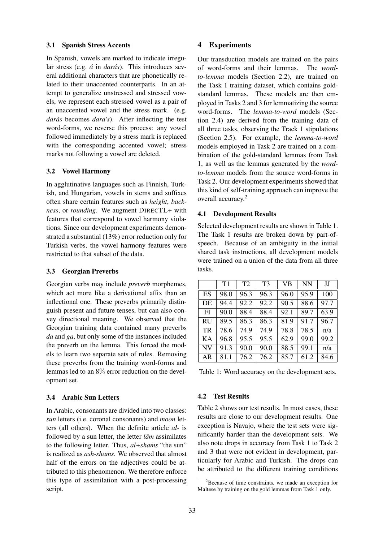#### 3.1 Spanish Stress Accents

In Spanish, vowels are marked to indicate irregular stress (e.g. *á* in *darás*). This introduces several additional characters that are phonetically related to their unaccented counterparts. In an attempt to generalize unstressed and stressed vowels, we represent each stressed vowel as a pair of an unaccented vowel and the stress mark. (e.g. darás becomes *dara's*). After inflecting the test word-forms, we reverse this process: any vowel followed immediately by a stress mark is replaced with the corresponding accented vowel; stress marks not following a vowel are deleted.

### 3.2 Vowel Harmony

In agglutinative languages such as Finnish, Turkish, and Hungarian, vowels in stems and suffixes often share certain features such as *height*, *backness*, or *rounding*. We augment DIRECTL+ with features that correspond to vowel harmony violations. Since our development experiments demonstrated a substantial (13%) error reduction only for Turkish verbs, the vowel harmony features were restricted to that subset of the data.

### 3.3 Georgian Preverbs

Georgian verbs may include *preverb* morphemes, which act more like a derivational affix than an inflectional one. These preverbs primarily distinguish present and future tenses, but can also convey directional meaning. We observed that the Georgian training data contained many preverbs *da* and *ga*, but only some of the instances included the preverb on the lemma. This forced the models to learn two separate sets of rules. Removing these preverbs from the training word-forms and lemmas led to an 8% error reduction on the development set.

### 3.4 Arabic Sun Letters

In Arabic, consonants are divided into two classes: *sun* letters (i.e. coronal consonants) and *moon* letters (all others). When the definite article *al-* is followed by a sun letter, the letter *lam* assimilates to the following letter. Thus, *al+shams* "the sun" is realized as *ash-shams*. We observed that almost half of the errors on the adjectives could be attributed to this phenomenon. We therefore enforce this type of assimilation with a post-processing script.

### 4 Experiments

Our transduction models are trained on the pairs of word-forms and their lemmas. The *wordto-lemma* models (Section 2.2), are trained on the Task 1 training dataset, which contains goldstandard lemmas. These models are then employed in Tasks 2 and 3 for lemmatizing the source word-forms. The *lemma-to-word* models (Section 2.4) are derived from the training data of all three tasks, observing the Track 1 stipulations (Section 2.5). For example, the *lemma-to-word* models employed in Task 2 are trained on a combination of the gold-standard lemmas from Task 1, as well as the lemmas generated by the *wordto-lemma* models from the source word-forms in Task 2. Our development experiments showed that this kind of self-training approach can improve the overall accuracy.<sup>2</sup>

### 4.1 Development Results

Selected development results are shown in Table 1. The Task 1 results are broken down by part-ofspeech. Because of an ambiguity in the initial shared task instructions, all development models were trained on a union of the data from all three tasks.

|           | T1   | T <sub>2</sub> | T <sub>3</sub> | <b>VB</b> | <b>NN</b> | IJ   |
|-----------|------|----------------|----------------|-----------|-----------|------|
| ES        | 98.0 | 96.3           | 96.3           | 96.0      | 95.9      | 100  |
| DE        | 94.4 | 92.2           | 92.2           | 90.5      | 88.6      | 97.7 |
| FI        | 90.0 | 88.4           | 88.4           | 92.1      | 89.7      | 63.9 |
| <b>RU</b> | 89.5 | 86.3           | 86.3           | 81.9      | 91.7      | 96.7 |
| <b>TR</b> | 78.6 | 74.9           | 74.9           | 78.8      | 78.5      | n/a  |
| KA        | 96.8 | 95.5           | 95.5           | 62.9      | 99.0      | 99.2 |
| <b>NV</b> | 91.3 | 90.0           | 90.0           | 88.5      | 99.1      | n/a  |
| AR        | 81.1 | 76.2           | 76.2           | 85.7      | 61.2      | 84.6 |

Table 1: Word accuracy on the development sets.

# 4.2 Test Results

Table 2 shows our test results. In most cases, these results are close to our development results. One exception is Navajo, where the test sets were significantly harder than the development sets. We also note drops in accuracy from Task 1 to Task 2 and 3 that were not evident in development, particularly for Arabic and Turkish. The drops can be attributed to the different training conditions

 $2B$  Because of time constraints, we made an exception for Maltese by training on the gold lemmas from Task 1 only.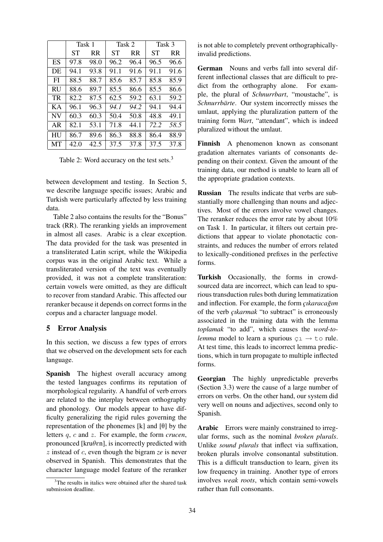|           | Task 1 |      | Task 2 |           | Task 3    |           |
|-----------|--------|------|--------|-----------|-----------|-----------|
|           | SТ     | RR.  | SТ     | <b>RR</b> | <b>ST</b> | <b>RR</b> |
| ES        | 97.8   | 98.0 | 96.2   | 96.4      | 96.5      | 96.6      |
| DE        | 94.1   | 93.8 | 91.1   | 91.6      | 91.1      | 91.6      |
| FI        | 88.5   | 88.7 | 85.6   | 85.7      | 85.8      | 85.9      |
| RU        | 88.6   | 89.7 | 85.5   | 86.6      | 85.5      | 86.6      |
| <b>TR</b> | 82.2   | 87.5 | 62.5   | 59.2      | 63.1      | 59.2      |
| KА        | 96.1   | 96.3 | 94.1   | 94.2      | 94.1      | 94.4      |
| <b>NV</b> | 60.3   | 60.3 | 50.4   | 50.8      | 48.8      | 49.1      |
| AR        | 82.1   | 53.1 | 71.8   | 44.1      | 72.2      | 58.5      |
| <b>HU</b> | 86.7   | 89.6 | 86.3   | 88.8      | 86.4      | 88.9      |
| MТ        | 42.0   | 42.5 | 37.5   | 37.8      | 37.5      | 37.8      |

Table 2: Word accuracy on the test sets.<sup>3</sup>

between development and testing. In Section 5, we describe language specific issues; Arabic and Turkish were particularly affected by less training data.

Table 2 also contains the results for the "Bonus" track (RR). The reranking yields an improvement in almost all cases. Arabic is a clear exception. The data provided for the task was presented in a transliterated Latin script, while the Wikipedia corpus was in the original Arabic text. While a transliterated version of the text was eventually provided, it was not a complete transliteration: certain vowels were omitted, as they are difficult to recover from standard Arabic. This affected our reranker because it depends on correct forms in the corpus and a character language model.

### 5 Error Analysis

In this section, we discuss a few types of errors that we observed on the development sets for each language.

Spanish The highest overall accuracy among the tested languages confirms its reputation of morphological regularity. A handful of verb errors are related to the interplay between orthography and phonology. Our models appear to have difficulty generalizing the rigid rules governing the representation of the phonemes  $[k]$  and  $[\theta]$  by the letters q, c and z. For example, the form *crucen*, pronounced [kru $\theta$ en], is incorrectly predicted with z instead of c, even though the bigram *ze* is never observed in Spanish. This demonstrates that the character language model feature of the reranker is not able to completely prevent orthographicallyinvalid predictions.

German Nouns and verbs fall into several different inflectional classes that are difficult to predict from the orthography alone. For example, the plural of *Schnurrbart*, "moustache", is *Schnurrbärte*. Our system incorrectly misses the umlaut, applying the pluralization pattern of the training form *Wart*, "attendant", which is indeed pluralized without the umlaut.

Finnish A phenomenon known as consonant gradation alternates variants of consonants depending on their context. Given the amount of the training data, our method is unable to learn all of the appropriate gradation contexts.

Russian The results indicate that verbs are substantially more challenging than nouns and adjectives. Most of the errors involve vowel changes. The reranker reduces the error rate by about 10% on Task 1. In particular, it filters out certain predictions that appear to violate phonotactic constraints, and reduces the number of errors related to lexically-conditioned prefixes in the perfective forms.

Turkish Occasionally, the forms in crowdsourced data are incorrect, which can lead to spurious transduction rules both during lemmatization and inflection. For example, the form *c*ukaracağım of the verb *çıkarmak* "to subtract" is erroneously associated in the training data with the lemma *toplamak* "to add", which causes the *word-tolemma* model to learn a spurious  $c_1 \rightarrow c_0$  rule. At test time, this leads to incorrect lemma predictions, which in turn propagate to multiple inflected forms.

Georgian The highly unpredictable preverbs (Section 3.3) were the cause of a large number of errors on verbs. On the other hand, our system did very well on nouns and adjectives, second only to Spanish.

Arabic Errors were mainly constrained to irregular forms, such as the nominal *broken plurals*. Unlike *sound plurals* that inflect via suffixation, broken plurals involve consonantal substitution. This is a difficult transduction to learn, given its low frequency in training. Another type of errors involves *weak roots*, which contain semi-vowels rather than full consonants.

 $3$ The results in italics were obtained after the shared task submission deadline.